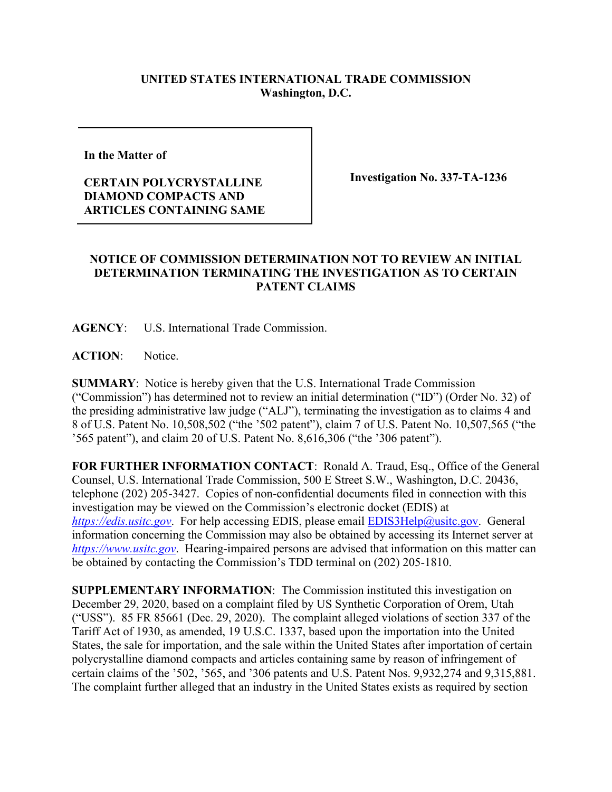## **UNITED STATES INTERNATIONAL TRADE COMMISSION Washington, D.C.**

**In the Matter of** 

## **CERTAIN POLYCRYSTALLINE DIAMOND COMPACTS AND ARTICLES CONTAINING SAME**

**Investigation No. 337-TA-1236**

## **NOTICE OF COMMISSION DETERMINATION NOT TO REVIEW AN INITIAL DETERMINATION TERMINATING THE INVESTIGATION AS TO CERTAIN PATENT CLAIMS**

**AGENCY**: U.S. International Trade Commission.

**ACTION**: Notice.

**SUMMARY**: Notice is hereby given that the U.S. International Trade Commission ("Commission") has determined not to review an initial determination ("ID") (Order No. 32) of the presiding administrative law judge ("ALJ"), terminating the investigation as to claims 4 and 8 of U.S. Patent No. 10,508,502 ("the '502 patent"), claim 7 of U.S. Patent No. 10,507,565 ("the '565 patent"), and claim 20 of U.S. Patent No. 8,616,306 ("the '306 patent").

**FOR FURTHER INFORMATION CONTACT**: Ronald A. Traud, Esq., Office of the General Counsel, U.S. International Trade Commission, 500 E Street S.W., Washington, D.C. 20436, telephone (202) 205-3427. Copies of non-confidential documents filed in connection with this investigation may be viewed on the Commission's electronic docket (EDIS) at *[https://edis.usitc.gov](https://edis.usitc.gov/).* For help accessing EDIS, please email [EDIS3Help@usitc.gov.](mailto:EDIS3Help@usitc.gov) General information concerning the Commission may also be obtained by accessing its Internet server at *[https://www.usitc.gov](https://www.usitc.gov/)*. Hearing-impaired persons are advised that information on this matter can be obtained by contacting the Commission's TDD terminal on (202) 205-1810.

**SUPPLEMENTARY INFORMATION**: The Commission instituted this investigation on December 29, 2020, based on a complaint filed by US Synthetic Corporation of Orem, Utah ("USS"). 85 FR 85661 (Dec. 29, 2020). The complaint alleged violations of section 337 of the Tariff Act of 1930, as amended, 19 U.S.C. 1337, based upon the importation into the United States, the sale for importation, and the sale within the United States after importation of certain polycrystalline diamond compacts and articles containing same by reason of infringement of certain claims of the '502, '565, and '306 patents and U.S. Patent Nos. 9,932,274 and 9,315,881. The complaint further alleged that an industry in the United States exists as required by section